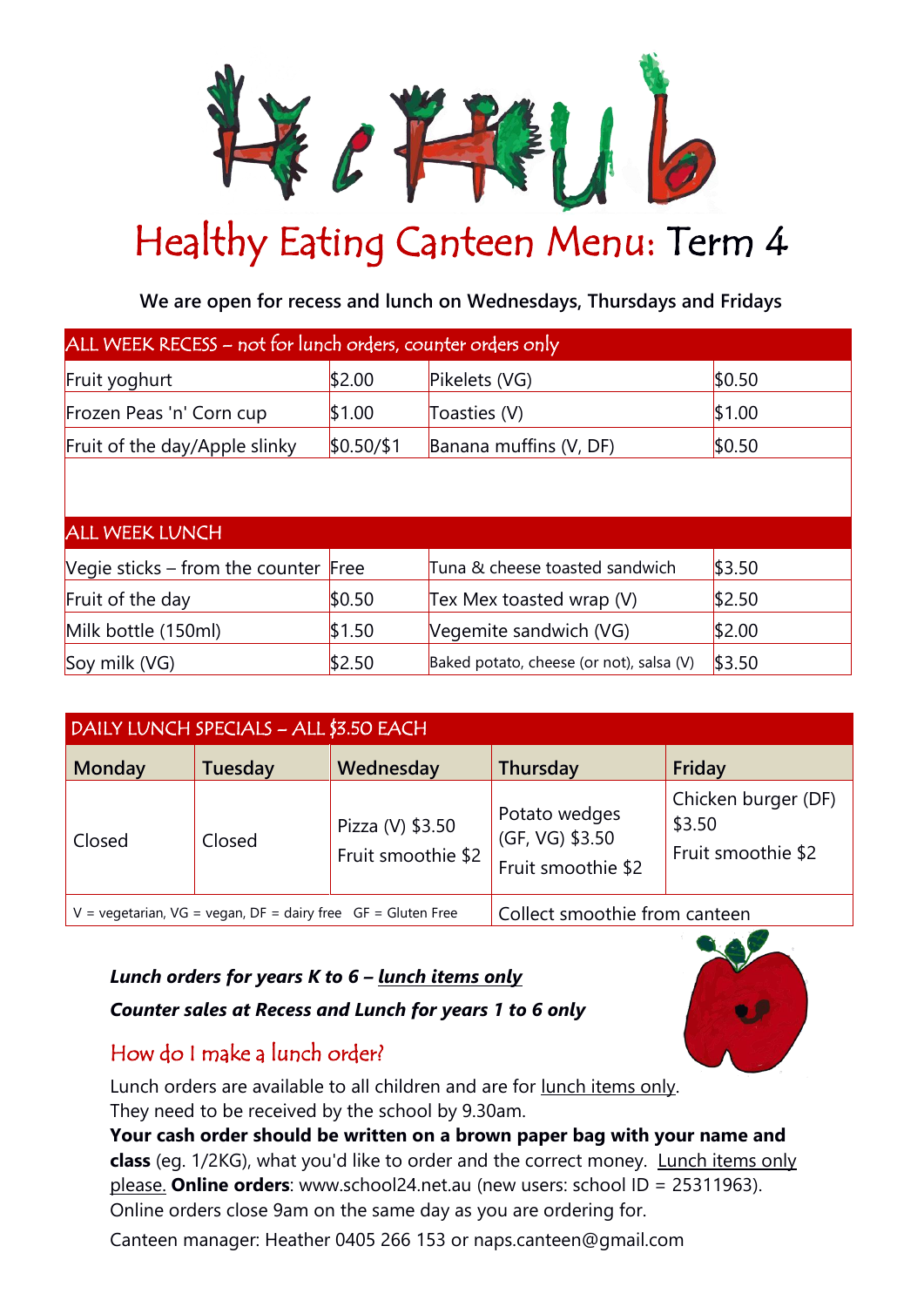

## Healthy Eating Canteen Menu: Term 4

**We are open for recess and lunch on Wednesdays, Thursdays and Fridays**

| ALL WEEK RECESS - not for lunch orders, counter orders only |            |                                          |        |  |  |  |
|-------------------------------------------------------------|------------|------------------------------------------|--------|--|--|--|
| Fruit yoghurt                                               | \$2.00     | Pikelets (VG)                            | \$0.50 |  |  |  |
| Frozen Peas 'n' Corn cup                                    | \$1.00     | Toasties (V)                             | \$1.00 |  |  |  |
| Fruit of the day/Apple slinky                               | \$0.50/\$1 | Banana muffins (V, DF)                   | \$0.50 |  |  |  |
|                                                             |            |                                          |        |  |  |  |
| <b>ALL WEEK LUNCH</b>                                       |            |                                          |        |  |  |  |
| Vegie sticks – from the counter Free                        |            | Tuna & cheese toasted sandwich           | \$3.50 |  |  |  |
| Fruit of the day                                            | \$0.50     | Tex Mex toasted wrap (V)                 | \$2.50 |  |  |  |
| Milk bottle (150ml)                                         | \$1.50     | Vegemite sandwich (VG)                   | \$2.00 |  |  |  |
| Soy milk (VG)                                               | \$2.50     | Baked potato, cheese (or not), salsa (V) | \$3.50 |  |  |  |

| DAILY LUNCH SPECIALS - ALL \$3.50 EACH                                                                 |         |                                        |                                                        |                                                     |  |
|--------------------------------------------------------------------------------------------------------|---------|----------------------------------------|--------------------------------------------------------|-----------------------------------------------------|--|
| <b>Monday</b>                                                                                          | Tuesday | Wednesday                              | Thursday                                               | Friday                                              |  |
| Closed                                                                                                 | Closed  | Pizza (V) \$3.50<br>Fruit smoothie \$2 | Potato wedges<br>(GF, VG) \$3.50<br>Fruit smoothie \$2 | Chicken burger (DF)<br>\$3.50<br>Fruit smoothie \$2 |  |
| $V = \text{v}$ vegetarian, $VG = \text{v}$ vegan, $DF = \text{d}$ airy free $GF = \text{Gl}$ uten Free |         |                                        | Collect smoothie from canteen                          |                                                     |  |

## *Lunch orders for years K to 6 – lunch items only*

*Counter sales at Recess and Lunch for years 1 to 6 only*

## How do I make a lunch order?

Lunch orders are available to all children and are for lunch items only. They need to be received by the school by 9.30am.

**Your cash order should be written on a brown paper bag with your name and class** (eg. 1/2KG), what you'd like to order and the correct money. Lunch items only please. **Online orders**: [www.school24.net.au](http://www.school24.net.au/) (new users: school ID = 25311963). Online orders close 9am on the same day as you are ordering for.

Canteen manager: Heather 0405 266 153 or naps.canteen@gmail.com